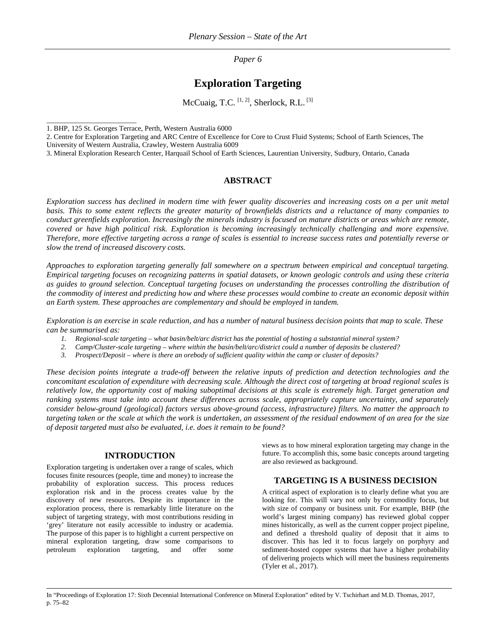*Paper 6*

# **Exploration Targeting**

McCuaig, T.C. <sup>[1, 2]</sup>, Sherlock, R.L. <sup>[3]</sup>

\_\_\_\_\_\_\_\_\_\_\_\_\_\_\_\_\_\_\_\_\_\_\_\_\_

2. Centre for Exploration Targeting and ARC Centre of Excellence for Core to Crust Fluid Systems; School of Earth Sciences, The

# **ABSTRACT**

*Exploration success has declined in modern time with fewer quality discoveries and increasing costs on a per unit metal basis. This to some extent reflects the greater maturity of brownfields districts and a reluctance of many companies to conduct greenfields exploration. Increasingly the minerals industry is focused on mature districts or areas which are remote, covered or have high political risk. Exploration is becoming increasingly technically challenging and more expensive. Therefore, more effective targeting across a range of scales is essential to increase success rates and potentially reverse or slow the trend of increased discovery costs.*

*Approaches to exploration targeting generally fall somewhere on a spectrum between empirical and conceptual targeting. Empirical targeting focuses on recognizing patterns in spatial datasets, or known geologic controls and using these criteria as guides to ground selection. Conceptual targeting focuses on understanding the processes controlling the distribution of the commodity of interest and predicting how and where these processes would combine to create an economic deposit within an Earth system. These approaches are complementary and should be employed in tandem.*

*Exploration is an exercise in scale reduction, and has a number of natural business decision points that map to scale. These can be summarised as:*

- *1. Regional-scale targeting – what basin/belt/arc district has the potential of hosting a substantial mineral system?*
- *2. Camp/Cluster-scale targeting – where within the basin/belt/arc/district could a number of deposits be clustered?*
- *3. Prospect/Deposit – where is there an orebody of sufficient quality within the camp or cluster of deposits?*

*These decision points integrate a trade-off between the relative inputs of prediction and detection technologies and the concomitant escalation of expenditure with decreasing scale. Although the direct cost of targeting at broad regional scales is relatively low, the opportunity cost of making suboptimal decisions at this scale is extremely high. Target generation and ranking systems must take into account these differences across scale, appropriately capture uncertainty, and separately consider below-ground (geological) factors versus above-ground (access, infrastructure) filters. No matter the approach to targeting taken or the scale at which the work is undertaken, an assessment of the residual endowment of an area for the size of deposit targeted must also be evaluated, i.e. does it remain to be found?* 

#### **INTRODUCTION**

Exploration targeting is undertaken over a range of scales, which focuses finite resources (people, time and money) to increase the probability of exploration success. This process reduces exploration risk and in the process creates value by the discovery of new resources. Despite its importance in the exploration process, there is remarkably little literature on the subject of targeting strategy, with most contributions residing in 'grey' literature not easily accessible to industry or academia. The purpose of this paper is to highlight a current perspective on mineral exploration targeting, draw some comparisons to petroleum exploration targeting, and offer some

views as to how mineral exploration targeting may change in the future. To accomplish this, some basic concepts around targeting are also reviewed as background.

# **TARGETING IS A BUSINESS DECISION**

A critical aspect of exploration is to clearly define what you are looking for. This will vary not only by commodity focus, but with size of company or business unit. For example, BHP (the world's largest mining company) has reviewed global copper mines historically, as well as the current copper project pipeline, and defined a threshold quality of deposit that it aims to discover. This has led it to focus largely on porphyry and sediment-hosted copper systems that have a higher probability of delivering projects which will meet the business requirements (Tyler et al., 2017).

<sup>1.</sup> BHP, 125 St. Georges Terrace, Perth, Western Australia 6000

University of Western Australia, Crawley, Western Australia 6009

<sup>3.</sup> Mineral Exploration Research Center, Harquail School of Earth Sciences, Laurentian University, Sudbury, Ontario, Canada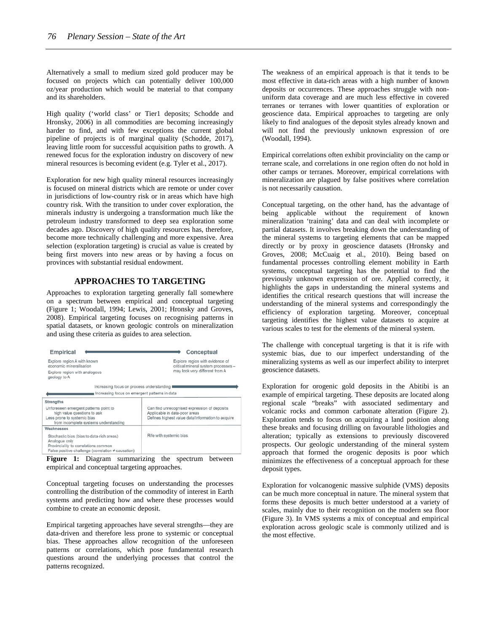Alternatively a small to medium sized gold producer may be focused on projects which can potentially deliver 100,000 oz/year production which would be material to that company and its shareholders.

High quality ('world class' or Tier1 deposits; Schodde and Hronsky, 2006) in all commodities are becoming increasingly harder to find, and with few exceptions the current global pipeline of projects is of marginal quality (Schodde, 2017), leaving little room for successful acquisition paths to growth. A renewed focus for the exploration industry on discovery of new mineral resources is becoming evident (e.g. Tyler et al., 2017).

Exploration for new high quality mineral resources increasingly is focused on mineral districts which are remote or under cover in jurisdictions of low-country risk or in areas which have high country risk. With the transition to under cover exploration, the minerals industry is undergoing a transformation much like the petroleum industry transformed to deep sea exploration some decades ago. Discovery of high quality resources has, therefore, become more technically challenging and more expensive. Area selection (exploration targeting) is crucial as value is created by being first movers into new areas or by having a focus on provinces with substantial residual endowment.

## **APPROACHES TO TARGETING**

Approaches to exploration targeting generally fall somewhere on a spectrum between empirical and conceptual targeting (Figure 1; Woodall, 1994; Lewis, 2001; Hronsky and Groves, 2008). Empirical targeting focuses on recognising patterns in spatial datasets, or known geologic controls on mineralization and using these criteria as guides to area selection.

| <b>Empirical</b>                                                                                                                                         | Conceptual                                                                         |
|----------------------------------------------------------------------------------------------------------------------------------------------------------|------------------------------------------------------------------------------------|
| Explore region A with known<br>economic mineralisation                                                                                                   | Explore region with evidence of<br>critical mineral system processes -             |
| Explore region with analogous<br>geology to A                                                                                                            | may look very different from A                                                     |
| Increasing focus on process understanding I                                                                                                              |                                                                                    |
| Increasing focus on emergent patterns in data                                                                                                            |                                                                                    |
| <b>Strengths</b>                                                                                                                                         |                                                                                    |
| Unforeseen emergent patterns point to                                                                                                                    | Can find unrecognised expression of deposits                                       |
| high value questions to ask<br>Less prone to systemic bias                                                                                               | Applicable in data-poor areas<br>Defines highest value data/information to acquire |
| from incomplete systems understanding                                                                                                                    |                                                                                    |
| Weaknesses                                                                                                                                               |                                                                                    |
| Stochastic bias (bias to data-rich areas)<br>Analogue only<br>Provinciality to correlations common<br>False positive challenge (correlation ≠ causation) | Rife with systemic bias                                                            |

Figure 1: Diagram summarizing the spectrum between empirical and conceptual targeting approaches.

Conceptual targeting focuses on understanding the processes controlling the distribution of the commodity of interest in Earth systems and predicting how and where these processes would combine to create an economic deposit.

Empirical targeting approaches have several strengths—they are data-driven and therefore less prone to systemic or conceptual bias. These approaches allow recognition of the unforeseen patterns or correlations, which pose fundamental research questions around the underlying processes that control the patterns recognized.

The weakness of an empirical approach is that it tends to be most effective in data-rich areas with a high number of known deposits or occurrences. These approaches struggle with nonuniform data coverage and are much less effective in covered terranes or terranes with lower quantities of exploration or geoscience data. Empirical approaches to targeting are only likely to find analogues of the deposit styles already known and will not find the previously unknown expression of ore (Woodall, 1994).

Empirical correlations often exhibit provinciality on the camp or terrane scale, and correlations in one region often do not hold in other camps or terranes. Moreover, empirical correlations with mineralization are plagued by false positives where correlation is not necessarily causation.

Conceptual targeting, on the other hand, has the advantage of being applicable without the requirement of known mineralization 'training' data and can deal with incomplete or partial datasets. It involves breaking down the understanding of the mineral systems to targeting elements that can be mapped directly or by proxy in geoscience datasets (Hronsky and Groves, 2008; McCuaig et al., 2010). Being based on fundamental processes controlling element mobility in Earth systems, conceptual targeting has the potential to find the previously unknown expression of ore. Applied correctly, it highlights the gaps in understanding the mineral systems and identifies the critical research questions that will increase the understanding of the mineral systems and correspondingly the efficiency of exploration targeting. Moreover, conceptual targeting identifies the highest value datasets to acquire at various scales to test for the elements of the mineral system.

The challenge with conceptual targeting is that it is rife with systemic bias, due to our imperfect understanding of the mineralizing systems as well as our imperfect ability to interpret geoscience datasets.

Exploration for orogenic gold deposits in the Abitibi is an example of empirical targeting. These deposits are located along regional scale "breaks" with associated sedimentary and volcanic rocks and common carbonate alteration (Figure 2). Exploration tends to focus on acquiring a land position along these breaks and focusing drilling on favourable lithologies and alteration; typically as extensions to previously discovered prospects. Our geologic understanding of the mineral system approach that formed the orogenic deposits is poor which minimizes the effectiveness of a conceptual approach for these deposit types.

Exploration for volcanogenic massive sulphide (VMS) deposits can be much more conceptual in nature. The mineral system that forms these deposits is much better understood at a variety of scales, mainly due to their recognition on the modern sea floor (Figure 3). In VMS systems a mix of conceptual and empirical exploration across geologic scale is commonly utilized and is the most effective.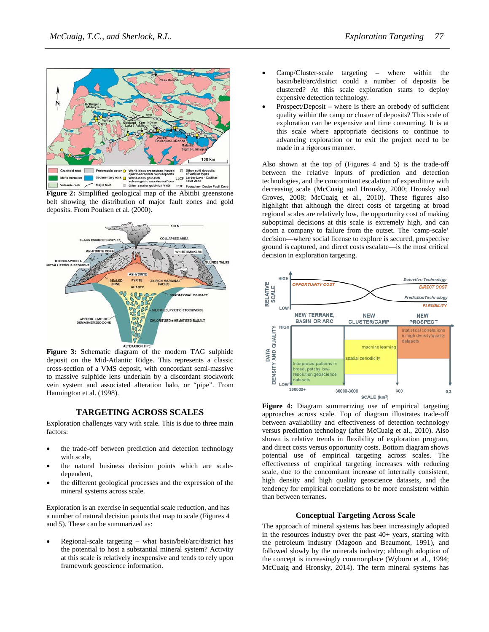

**Figure 2:** Simplified geological map of the Abitibi greenstone belt showing the distribution of major fault zones and gold deposits. From Poulsen et al. (2000).



**Figure 3:** Schematic diagram of the modern TAG sulphide deposit on the Mid-Atlantic Ridge. This represents a classic cross-section of a VMS deposit, with concordant semi-massive to massive sulphide lens underlain by a discordant stockwork vein system and associated alteration halo, or "pipe". From Hannington et al. (1998).

## **TARGETING ACROSS SCALES**

Exploration challenges vary with scale. This is due to three main factors:

- the trade-off between prediction and detection technology with scale,
- the natural business decision points which are scaledependent,
- the different geological processes and the expression of the mineral systems across scale.

Exploration is an exercise in sequential scale reduction, and has a number of natural decision points that map to scale (Figures 4 and 5). These can be summarized as:

Regional-scale targeting – what basin/belt/arc/district has the potential to host a substantial mineral system? Activity at this scale is relatively inexpensive and tends to rely upon framework geoscience information.

- Camp/Cluster-scale targeting where within the basin/belt/arc/district could a number of deposits be clustered? At this scale exploration starts to deploy expensive detection technology.
- Prospect/Deposit where is there an orebody of sufficient quality within the camp or cluster of deposits? This scale of exploration can be expensive and time consuming. It is at this scale where appropriate decisions to continue to advancing exploration or to exit the project need to be made in a rigorous manner.

Also shown at the top of (Figures 4 and 5) is the trade-off between the relative inputs of prediction and detection technologies, and the concomitant escalation of expenditure with decreasing scale (McCuaig and Hronsky, 2000; Hronsky and Groves, 2008; McCuaig et al., 2010). These figures also highlight that although the direct costs of targeting at broad regional scales are relatively low, the opportunity cost of making suboptimal decisions at this scale is extremely high, and can doom a company to failure from the outset. The 'camp-scale' decision—where social license to explore is secured, prospective ground is captured, and direct costs escalate—is the most critical decision in exploration targeting.



**Figure 4:** Diagram summarizing use of empirical targeting approaches across scale. Top of diagram illustrates trade-off between availability and effectiveness of detection technology versus prediction technology (after McCuaig et al., 2010). Also shown is relative trends in flexibility of exploration program, and direct costs versus opportunity costs. Bottom diagram shows potential use of empirical targeting across scales. The effectiveness of empirical targeting increases with reducing scale, due to the concomitant increase of internally consistent, high density and high quality geoscience datasets, and the tendency for empirical correlations to be more consistent within than between terranes.

# **Conceptual Targeting Across Scale**

The approach of mineral systems has been increasingly adopted in the resources industry over the past 40+ years, starting with the petroleum industry (Magoon and Beaumont, 1991), and followed slowly by the minerals industry; although adoption of the concept is increasingly commonplace (Wyborn et al., 1994; McCuaig and Hronsky, 2014). The term mineral systems has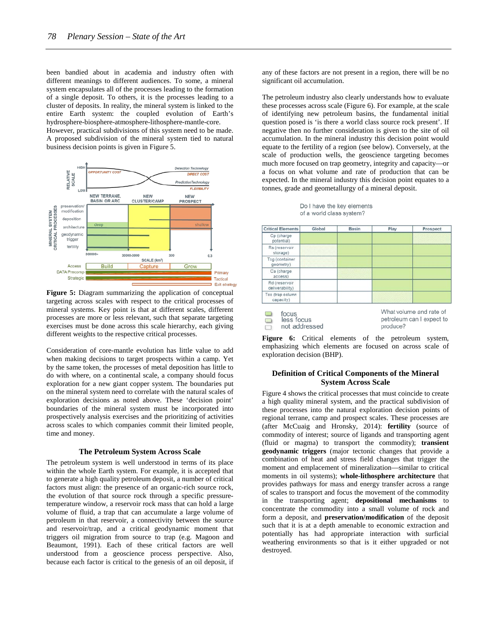been bandied about in academia and industry often with different meanings to different audiences. To some, a mineral system encapsulates all of the processes leading to the formation of a single deposit. To others, it is the processes leading to a cluster of deposits. In reality, the mineral system is linked to the entire Earth system: the coupled evolution of Earth's hydrosphere-biosphere-atmosphere-lithosphere-mantle-core.

However, practical subdivisions of this system need to be made. A proposed subdivision of the mineral system tied to natural business decision points is given in Figure 5.



**Figure 5:** Diagram summarizing the application of conceptual targeting across scales with respect to the critical processes of mineral systems. Key point is that at different scales, different processes are more or less relevant, such that separate targeting exercises must be done across this scale hierarchy, each giving different weights to the respective critical processes.

Consideration of core-mantle evolution has little value to add when making decisions to target prospects within a camp. Yet by the same token, the processes of metal deposition has little to do with where, on a continental scale, a company should focus exploration for a new giant copper system. The boundaries put on the mineral system need to correlate with the natural scales of exploration decisions as noted above. These 'decision point' boundaries of the mineral system must be incorporated into prospectively analysis exercises and the prioritizing of activities across scales to which companies commit their limited people, time and money.

#### **The Petroleum System Across Scale**

The petroleum system is well understood in terms of its place within the whole Earth system. For example, it is accepted that to generate a high quality petroleum deposit, a number of critical factors must align: the presence of an organic-rich source rock, the evolution of that source rock through a specific pressuretemperature window, a reservoir rock mass that can hold a large volume of fluid, a trap that can accumulate a large volume of petroleum in that reservoir, a connectivity between the source and reservoir/trap, and a critical geodynamic moment that triggers oil migration from source to trap (e.g. Magoon and Beaumont, 1991). Each of these critical factors are well understood from a geoscience process perspective. Also, because each factor is critical to the genesis of an oil deposit, if any of these factors are not present in a region, there will be no significant oil accumulation.

The petroleum industry also clearly understands how to evaluate these processes across scale (Figure 6). For example, at the scale of identifying new petroleum basins, the fundamental initial question posed is 'is there a world class source rock present'. If negative then no further consideration is given to the site of oil accumulation. In the mineral industry this decision point would equate to the fertility of a region (see below). Conversely, at the scale of production wells, the geoscience targeting becomes much more focused on trap geometry, integrity and capacity—or a focus on what volume and rate of production that can be expected. In the mineral industry this decision point equates to a tonnes, grade and geometallurgy of a mineral deposit.

Do I have the key elements of a world class system?



**Figure 6:** Critical elements of the petroleum system, emphasizing which elements are focused on across scale of exploration decision (BHP).

#### **Definition of Critical Components of the Mineral System Across Scale**

Figure 4 shows the critical processes that must coincide to create a high quality mineral system, and the practical subdivision of these processes into the natural exploration decision points of regional terrane, camp and prospect scales. These processes are (after McCuaig and Hronsky, 2014): **fertility** (source of commodity of interest; source of ligands and transporting agent (fluid or magma) to transport the commodity); **transient geodynamic triggers** (major tectonic changes that provide a combination of heat and stress field changes that trigger the moment and emplacement of mineralization—similar to critical moments in oil systems); **whole-lithosphere architecture** that provides pathways for mass and energy transfer across a range of scales to transport and focus the movement of the commodity in the transporting agent; **depositional mechanisms** to concentrate the commodity into a small volume of rock and form a deposit, and **preservation/modification** of the deposit such that it is at a depth amenable to economic extraction and potentially has had appropriate interaction with surficial weathering environments so that is it either upgraded or not destroyed.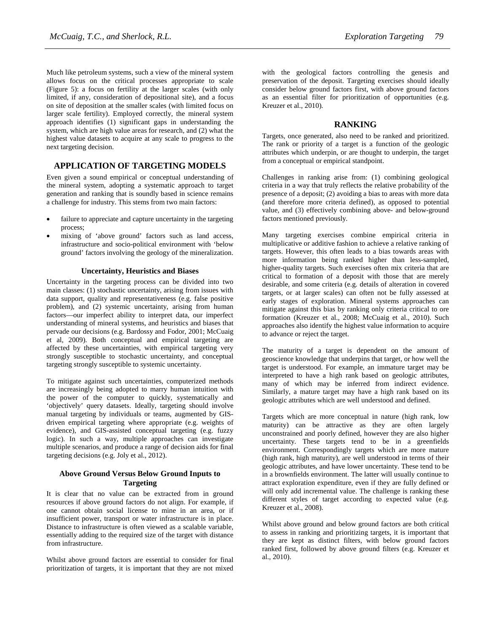Much like petroleum systems, such a view of the mineral system allows focus on the critical processes appropriate to scale (Figure 5): a focus on fertility at the larger scales (with only limited, if any, consideration of depositional site), and a focus on site of deposition at the smaller scales (with limited focus on larger scale fertility). Employed correctly, the mineral system approach identifies (1) significant gaps in understanding the system, which are high value areas for research, and (2) what the highest value datasets to acquire at any scale to progress to the next targeting decision.

## **APPLICATION OF TARGETING MODELS**

Even given a sound empirical or conceptual understanding of the mineral system, adopting a systematic approach to target generation and ranking that is soundly based in science remains a challenge for industry. This stems from two main factors:

- failure to appreciate and capture uncertainty in the targeting process;
- mixing of 'above ground' factors such as land access, infrastructure and socio-political environment with 'below ground' factors involving the geology of the mineralization.

#### **Uncertainty, Heuristics and Biases**

Uncertainty in the targeting process can be divided into two main classes: (1) stochastic uncertainty, arising from issues with data support, quality and representativeness (e.g. false positive problem), and (2) systemic uncertainty, arising from human factors—our imperfect ability to interpret data, our imperfect understanding of mineral systems, and heuristics and biases that pervade our decisions (e.g. Bardossy and Fodor, 2001; McCuaig et al, 2009). Both conceptual and empirical targeting are affected by these uncertainties, with empirical targeting very strongly susceptible to stochastic uncertainty, and conceptual targeting strongly susceptible to systemic uncertainty.

To mitigate against such uncertainties, computerized methods are increasingly being adopted to marry human intuition with the power of the computer to quickly, systematically and 'objectively' query datasets. Ideally, targeting should involve manual targeting by individuals or teams, augmented by GISdriven empirical targeting where appropriate (e.g. weights of evidence), and GIS-assisted conceptual targeting (e.g. fuzzy logic). In such a way, multiple approaches can investigate multiple scenarios, and produce a range of decision aids for final targeting decisions (e.g. Joly et al., 2012).

## **Above Ground Versus Below Ground Inputs to Targeting**

It is clear that no value can be extracted from in ground resources if above ground factors do not align. For example, if one cannot obtain social license to mine in an area, or if insufficient power, transport or water infrastructure is in place. Distance to infrastructure is often viewed as a scalable variable, essentially adding to the required size of the target with distance from infrastructure.

Whilst above ground factors are essential to consider for final prioritization of targets, it is important that they are not mixed

with the geological factors controlling the genesis and preservation of the deposit. Targeting exercises should ideally consider below ground factors first, with above ground factors as an essential filter for prioritization of opportunities (e.g. Kreuzer et al., 2010).

#### **RANKING**

Targets, once generated, also need to be ranked and prioritized. The rank or priority of a target is a function of the geologic attributes which underpin, or are thought to underpin, the target from a conceptual or empirical standpoint.

Challenges in ranking arise from: (1) combining geological criteria in a way that truly reflects the relative probability of the presence of a deposit; (2) avoiding a bias to areas with more data (and therefore more criteria defined), as opposed to potential value, and (3) effectively combining above- and below-ground factors mentioned previously.

Many targeting exercises combine empirical criteria in multiplicative or additive fashion to achieve a relative ranking of targets. However, this often leads to a bias towards areas with more information being ranked higher than less-sampled, higher-quality targets. Such exercises often mix criteria that are critical to formation of a deposit with those that are merely desirable, and some criteria (e.g. details of alteration in covered targets, or at larger scales) can often not be fully assessed at early stages of exploration. Mineral systems approaches can mitigate against this bias by ranking only criteria critical to ore formation (Kreuzer et al., 2008; McCuaig et al., 2010). Such approaches also identify the highest value information to acquire to advance or reject the target.

The maturity of a target is dependent on the amount of geoscience knowledge that underpins that target, or how well the target is understood. For example, an immature target may be interpreted to have a high rank based on geologic attributes, many of which may be inferred from indirect evidence. Similarly, a mature target may have a high rank based on its geologic attributes which are well understood and defined.

Targets which are more conceptual in nature (high rank, low maturity) can be attractive as they are often largely unconstrained and poorly defined, however they are also higher uncertainty. These targets tend to be in a greenfields environment. Correspondingly targets which are more mature (high rank, high maturity), are well understood in terms of their geologic attributes, and have lower uncertainty. These tend to be in a brownfields environment. The latter will usually continue to attract exploration expenditure, even if they are fully defined or will only add incremental value. The challenge is ranking these different styles of target according to expected value (e.g. Kreuzer et al., 2008).

Whilst above ground and below ground factors are both critical to assess in ranking and prioritizing targets, it is important that they are kept as distinct filters, with below ground factors ranked first, followed by above ground filters (e.g. Kreuzer et al., 2010).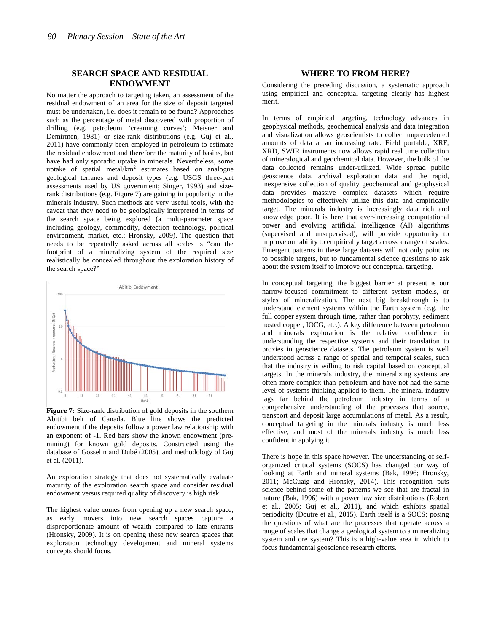# **SEARCH SPACE AND RESIDUAL ENDOWMENT**

No matter the approach to targeting taken, an assessment of the residual endowment of an area for the size of deposit targeted must be undertaken, i.e. does it remain to be found? Approaches such as the percentage of metal discovered with proportion of drilling (e.g. petroleum 'creaming curves'; Meisner and Demirmen, 1981) or size-rank distributions (e.g. Guj et al., 2011) have commonly been employed in petroleum to estimate the residual endowment and therefore the maturity of basins, but have had only sporadic uptake in minerals. Nevertheless, some uptake of spatial metal/ $km^2$  estimates based on analogue geological terranes and deposit types (e.g. USGS three-part assessments used by US government; Singer, 1993) and sizerank distributions (e.g. Figure 7) are gaining in popularity in the minerals industry. Such methods are very useful tools, with the caveat that they need to be geologically interpreted in terms of the search space being explored (a multi-parameter space including geology, commodity, detection technology, political environment, market, etc.; Hronsky, 2009). The question that needs to be repeatedly asked across all scales is "can the footprint of a mineralizing system of the required size realistically be concealed throughout the exploration history of the search space?"



**Figure 7:** Size-rank distribution of gold deposits in the southern Abitibi belt of Canada. Blue line shows the predicted endowment if the deposits follow a power law relationship with an exponent of -1. Red bars show the known endowment (premining) for known gold deposits. Constructed using the database of Gosselin and Dubé (2005), and methodology of Guj et al. (2011).

An exploration strategy that does not systematically evaluate maturity of the exploration search space and consider residual endowment versus required quality of discovery is high risk.

The highest value comes from opening up a new search space, as early movers into new search spaces capture a disproportionate amount of wealth compared to late entrants (Hronsky, 2009). It is on opening these new search spaces that exploration technology development and mineral systems concepts should focus.

## **WHERE TO FROM HERE?**

Considering the preceding discussion, a systematic approach using empirical and conceptual targeting clearly has highest merit.

In terms of empirical targeting, technology advances in geophysical methods, geochemical analysis and data integration and visualization allows geoscientists to collect unprecedented amounts of data at an increasing rate. Field portable, XRF, XRD, SWIR instruments now allows rapid real time collection of mineralogical and geochemical data. However, the bulk of the data collected remains under-utilized. Wide spread public geoscience data, archival exploration data and the rapid, inexpensive collection of quality geochemical and geophysical data provides massive complex datasets which require methodologies to effectively utilize this data and empirically target. The minerals industry is increasingly data rich and knowledge poor. It is here that ever-increasing computational power and evolving artificial intelligence (AI) algorithms (supervised and unsupervised), will provide opportunity to improve our ability to empirically target across a range of scales. Emergent patterns in these large datasets will not only point us to possible targets, but to fundamental science questions to ask about the system itself to improve our conceptual targeting.

In conceptual targeting, the biggest barrier at present is our narrow-focused commitment to different system models, or styles of mineralization. The next big breakthrough is to understand element systems within the Earth system (e.g. the full copper system through time, rather than porphyry, sediment hosted copper, IOCG, etc.). A key difference between petroleum and minerals exploration is the relative confidence in understanding the respective systems and their translation to proxies in geoscience datasets. The petroleum system is well understood across a range of spatial and temporal scales, such that the industry is willing to risk capital based on conceptual targets. In the minerals industry, the mineralizing systems are often more complex than petroleum and have not had the same level of systems thinking applied to them. The mineral industry lags far behind the petroleum industry in terms of a comprehensive understanding of the processes that source, transport and deposit large accumulations of metal. As a result, conceptual targeting in the minerals industry is much less effective, and most of the minerals industry is much less confident in applying it.

There is hope in this space however. The understanding of selforganized critical systems (SOCS) has changed our way of looking at Earth and mineral systems (Bak, 1996; Hronsky, 2011; McCuaig and Hronsky, 2014). This recognition puts science behind some of the patterns we see that are fractal in nature (Bak, 1996) with a power law size distributions (Robert et al., 2005; Guj et al., 2011), and which exhibits spatial periodicity (Doutre et al., 2015). Earth itself is a SOCS; posing the questions of what are the processes that operate across a range of scales that change a geological system to a mineralizing system and ore system? This is a high-value area in which to focus fundamental geoscience research efforts.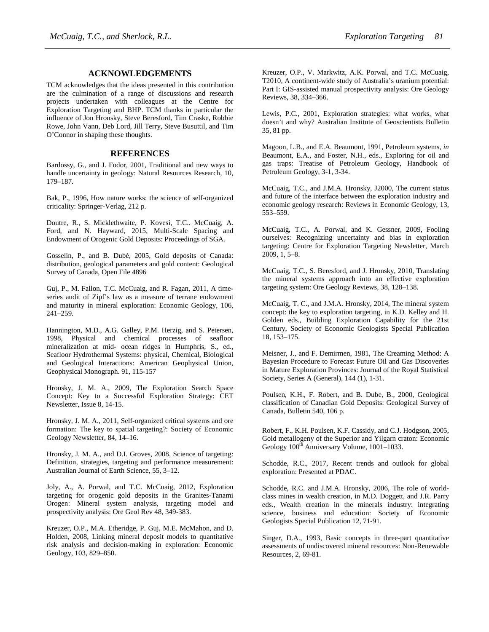#### **ACKNOWLEDGEMENTS**

TCM acknowledges that the ideas presented in this contribution are the culmination of a range of discussions and research projects undertaken with colleagues at the Centre for Exploration Targeting and BHP. TCM thanks in particular the influence of Jon Hronsky, Steve Beresford, Tim Craske, Robbie Rowe, John Vann, Deb Lord, Jill Terry, Steve Busuttil, and Tim O'Connor in shaping these thoughts.

#### **REFERENCES**

Bardossy, G., and J. Fodor, 2001, Traditional and new ways to handle uncertainty in geology: Natural Resources Research, 10, 179–187.

Bak, P., 1996, How nature works: the science of self-organized criticality: Springer-Verlag, 212 p.

Doutre, R., S. Micklethwaite, P. Kovesi, T.C.. McCuaig, A. Ford, and N. Hayward, 2015, Multi-Scale Spacing and Endowment of Orogenic Gold Deposits: Proceedings of SGA.

Gosselin, P., and B. Dubé, 2005, Gold deposits of Canada: distribution, geological parameters and gold content: Geological Survey of Canada, Open File 4896

Guj, P., M. Fallon, T.C. McCuaig, and R. Fagan, 2011, A timeseries audit of Zipf's law as a measure of terrane endowment and maturity in mineral exploration: Economic Geology, 106, 241–259.

Hannington, M.D., A.G. Galley, P.M. Herzig, and S. Petersen, 1998, Physical and chemical processes of seafloor mineralization at mid- ocean ridges in Humphris, S., ed., Seafloor Hydrothermal Systems: physical, Chemical, Biological and Geological Interactions: American Geophysical Union, Geophysical Monograph. 91, 115-157

Hronsky, J. M. A., 2009, The Exploration Search Space Concept: Key to a Successful Exploration Strategy: CET Newsletter, Issue 8, 14-15.

Hronsky, J. M. A., 2011, Self-organized critical systems and ore formation: The key to spatial targeting?: Society of Economic Geology Newsletter, 84, 14–16.

Hronsky, J. M. A., and D.I. Groves, 2008, Science of targeting: Definition, strategies, targeting and performance measurement: Australian Journal of Earth Science, 55, 3–12.

Joly, A., A. Porwal, and T.C. McCuaig, 2012, Exploration targeting for orogenic gold deposits in the Granites-Tanami Orogen: Mineral system analysis, targeting model and prospectivity analysis: Ore Geol Rev 48, 349-383.

Kreuzer, O.P., M.A. Etheridge, P. Guj, M.E. McMahon, and D. Holden, 2008, Linking mineral deposit models to quantitative risk analysis and decision-making in exploration: Economic Geology, 103, 829–850.

Kreuzer, O.P., V. Markwitz, A.K. Porwal, and T.C. McCuaig, T2010, A continent-wide study of Australia's uranium potential: Part I: GIS-assisted manual prospectivity analysis: Ore Geology Reviews, 38, 334–366.

Lewis, P.C., 2001, Exploration strategies: what works, what doesn't and why? Australian Institute of Geoscientists Bulletin 35, 81 pp.

Magoon, L.B., and E.A. Beaumont, 1991, Petroleum systems, *in*  Beaumont, E.A., and Foster, N.H., eds., Exploring for oil and gas traps: Treatise of Petroleum Geology, Handbook of Petroleum Geology, 3-1, 3-34.

McCuaig, T.C., and J.M.A. Hronsky, J2000, The current status and future of the interface between the exploration industry and economic geology research: Reviews in Economic Geology, 13, 553–559.

McCuaig, T.C., A. Porwal, and K. Gessner, 2009, Fooling ourselves: Recognizing uncertainty and bias in exploration targeting: Centre for Exploration Targeting Newsletter, March 2009, 1, 5–8.

McCuaig, T.C., S. Beresford, and J. Hronsky, 2010, Translating the mineral systems approach into an effective exploration targeting system: Ore Geology Reviews, 38, 128–138.

McCuaig, T. C., and J.M.A. Hronsky, 2014, The mineral system concept: the key to exploration targeting, in K.D. Kelley and H. Golden eds., Building Exploration Capability for the 21st Century, Society of Economic Geologists Special Publication 18, 153–175.

Meisner, J., and F. Demirmen, 1981, The Creaming Method: A Bayesian Procedure to Forecast Future Oil and Gas Discoveries in Mature Exploration Provinces: Journal of the Royal Statistical Society, Series A (General), 144 (1), 1-31.

Poulsen, K.H., F. Robert, and B. Dube, B., 2000, Geological classification of Canadian Gold Deposits: Geological Survey of Canada, Bulletin 540, 106 p.

Robert, F., K.H. Poulsen, K.F. Cassidy, and C.J. Hodgson, 2005, Gold metallogeny of the Superior and Yilgarn craton: Economic Geology 100<sup>th</sup> Anniversary Volume, 1001-1033.

Schodde, R.C., 2017, Recent trends and outlook for global exploration: Presented at PDAC.

Schodde, R.C. and J.M.A. Hronsky, 2006, The role of worldclass mines in wealth creation, in M.D. Doggett, and J.R. Parry eds., Wealth creation in the minerals industry: integrating science, business and education: Society of Economic Geologists Special Publication 12, 71-91.

Singer, D.A., 1993, Basic concepts in three-part quantitative assessments of undiscovered mineral resources: Non-Renewable Resources, 2, 69-81.